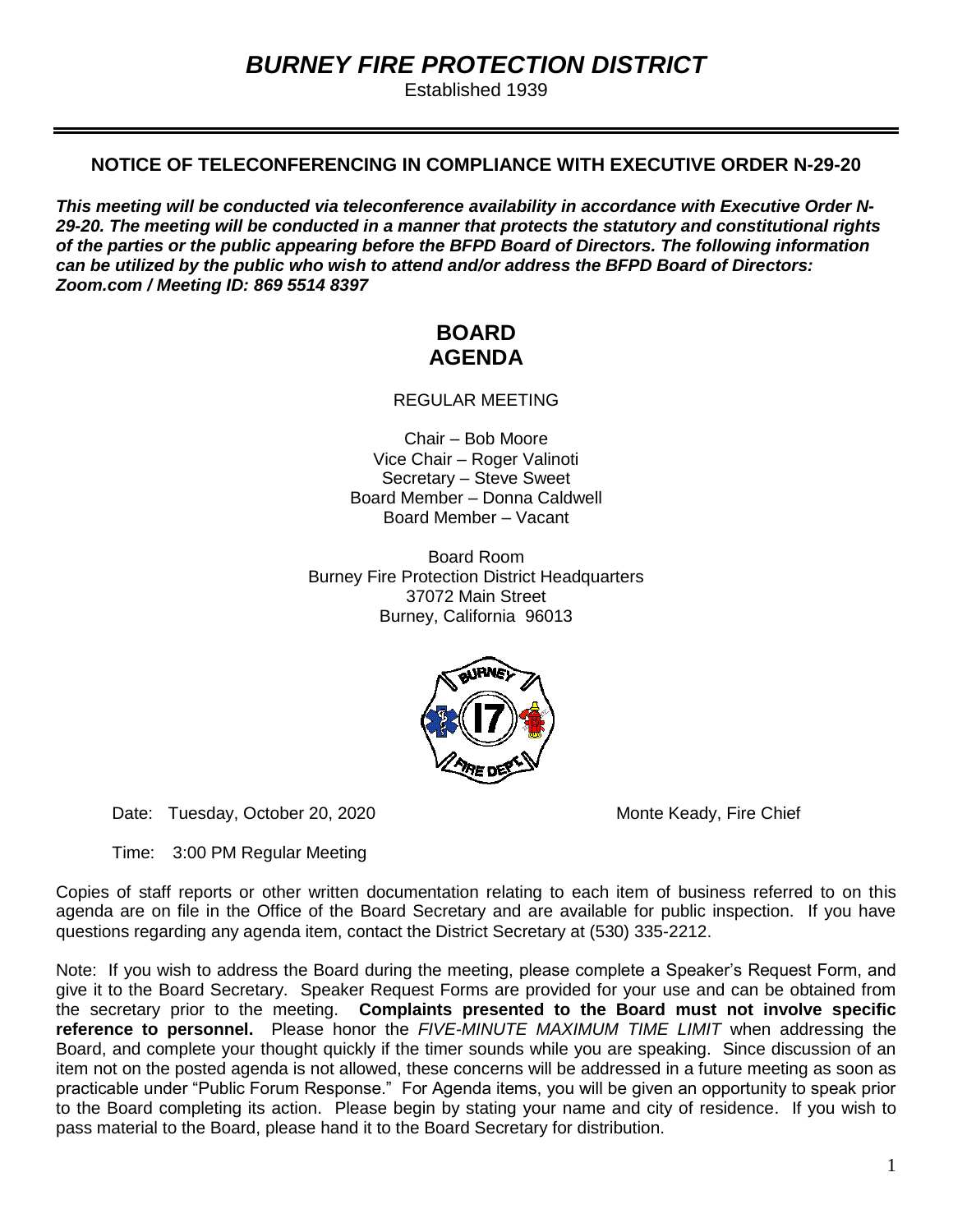# *BURNEY FIRE PROTECTION DISTRICT*

Established 1939

# **NOTICE OF TELECONFERENCING IN COMPLIANCE WITH EXECUTIVE ORDER N-29-20**

*This meeting will be conducted via teleconference availability in accordance with Executive Order N-29-20. The meeting will be conducted in a manner that protects the statutory and constitutional rights of the parties or the public appearing before the BFPD Board of Directors. The following information can be utilized by the public who wish to attend and/or address the BFPD Board of Directors: Zoom.com / Meeting ID: 869 5514 8397*

# **BOARD AGENDA**

REGULAR MEETING

Chair – Bob Moore Vice Chair – Roger Valinoti Secretary – Steve Sweet Board Member – Donna Caldwell Board Member – Vacant

Board Room Burney Fire Protection District Headquarters 37072 Main Street Burney, California 96013



Date: Tuesday, October 20, 2020 Monte Keady, Fire Chief

Time: 3:00 PM Regular Meeting

Copies of staff reports or other written documentation relating to each item of business referred to on this agenda are on file in the Office of the Board Secretary and are available for public inspection. If you have questions regarding any agenda item, contact the District Secretary at (530) 335-2212.

Note: If you wish to address the Board during the meeting, please complete a Speaker's Request Form, and give it to the Board Secretary. Speaker Request Forms are provided for your use and can be obtained from the secretary prior to the meeting. **Complaints presented to the Board must not involve specific reference to personnel.** Please honor the *FIVE-MINUTE MAXIMUM TIME LIMIT* when addressing the Board, and complete your thought quickly if the timer sounds while you are speaking. Since discussion of an item not on the posted agenda is not allowed, these concerns will be addressed in a future meeting as soon as practicable under "Public Forum Response." For Agenda items, you will be given an opportunity to speak prior to the Board completing its action. Please begin by stating your name and city of residence. If you wish to pass material to the Board, please hand it to the Board Secretary for distribution.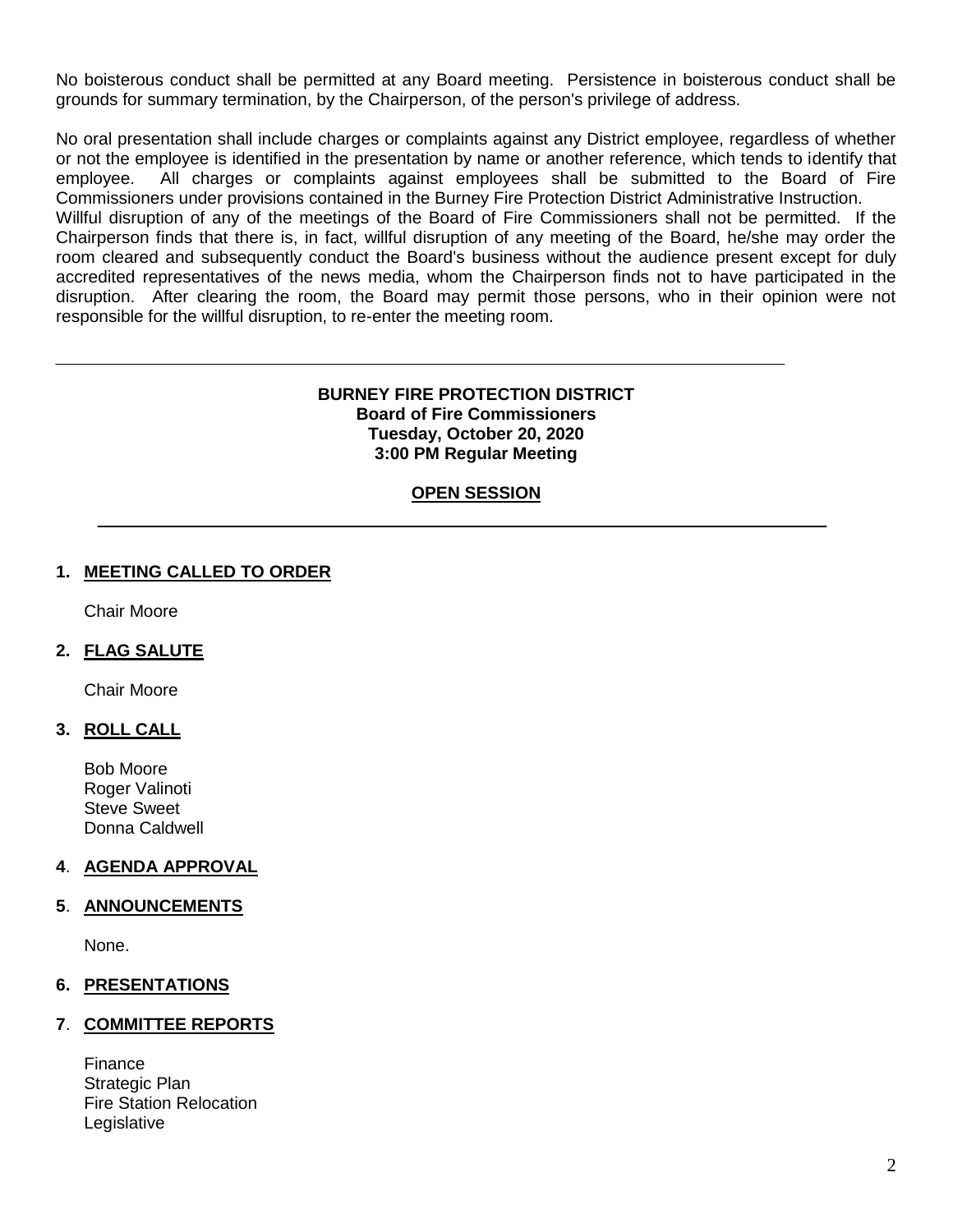No boisterous conduct shall be permitted at any Board meeting. Persistence in boisterous conduct shall be grounds for summary termination, by the Chairperson, of the person's privilege of address.

No oral presentation shall include charges or complaints against any District employee, regardless of whether or not the employee is identified in the presentation by name or another reference, which tends to identify that employee. All charges or complaints against employees shall be submitted to the Board of Fire Commissioners under provisions contained in the Burney Fire Protection District Administrative Instruction. Willful disruption of any of the meetings of the Board of Fire Commissioners shall not be permitted. If the Chairperson finds that there is, in fact, willful disruption of any meeting of the Board, he/she may order the room cleared and subsequently conduct the Board's business without the audience present except for duly accredited representatives of the news media, whom the Chairperson finds not to have participated in the disruption. After clearing the room, the Board may permit those persons, who in their opinion were not responsible for the willful disruption, to re-enter the meeting room.

#### **BURNEY FIRE PROTECTION DISTRICT Board of Fire Commissioners Tuesday, October 20, 2020 3:00 PM Regular Meeting**

#### **OPEN SESSION**

#### **1. MEETING CALLED TO ORDER**

Chair Moore

## **2. FLAG SALUTE**

Chair Moore

#### **3. ROLL CALL**

Bob Moore Roger Valinoti Steve Sweet Donna Caldwell

## **4**. **AGENDA APPROVAL**

#### **5**. **ANNOUNCEMENTS**

None.

#### **6. PRESENTATIONS**

#### **7**. **COMMITTEE REPORTS**

Finance Strategic Plan Fire Station Relocation Legislative